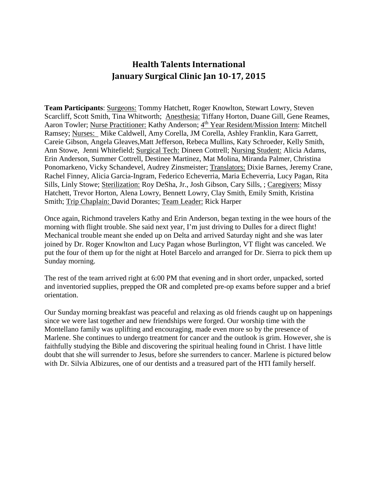## **Health Talents International January Surgical Clinic Jan 10-17, 2015**

**Team Participants**: Surgeons: Tommy Hatchett, Roger Knowlton, Stewart Lowry, Steven Scarcliff, Scott Smith, Tina Whitworth; Anesthesia: Tiffany Horton, Duane Gill, Gene Reames, Aaron Towler; Nurse Practitioner: Kathy Anderson; 4<sup>th</sup> Year Resident/Mission Intern: Mitchell Ramsey; Nurses: Mike Caldwell, Amy Corella, JM Corella, Ashley Franklin, Kara Garrett, Careie Gibson, Angela Gleaves,Matt Jefferson, Rebeca Mullins, Katy Schroeder, Kelly Smith, Ann Stowe, Jenni Whitefield; Surgical Tech: Dineen Cottrell; Nursing Student: Alicia Adams, Erin Anderson, Summer Cottrell, Destinee Martinez, Mat Molina, Miranda Palmer, Christina Ponomarkeno, Vicky Schandevel, Audrey Zinsmeister; Translators: Dixie Barnes, Jeremy Crane, Rachel Finney, Alicia Garcia-Ingram, Federico Echeverria, Maria Echeverria, Lucy Pagan, Rita Sills, Linly Stowe; Sterilization: Roy DeSha, Jr., Josh Gibson, Cary Sills, ; Caregivers: Missy Hatchett, Trevor Horton, Alena Lowry, Bennett Lowry, Clay Smith, Emily Smith, Kristina Smith; Trip Chaplain: David Dorantes; Team Leader: Rick Harper

Once again, Richmond travelers Kathy and Erin Anderson, began texting in the wee hours of the morning with flight trouble. She said next year, I'm just driving to Dulles for a direct flight! Mechanical trouble meant she ended up on Delta and arrived Saturday night and she was later joined by Dr. Roger Knowlton and Lucy Pagan whose Burlington, VT flight was canceled. We put the four of them up for the night at Hotel Barcelo and arranged for Dr. Sierra to pick them up Sunday morning.

The rest of the team arrived right at 6:00 PM that evening and in short order, unpacked, sorted and inventoried supplies, prepped the OR and completed pre-op exams before supper and a brief orientation.

Our Sunday morning breakfast was peaceful and relaxing as old friends caught up on happenings since we were last together and new friendships were forged. Our worship time with the Montellano family was uplifting and encouraging, made even more so by the presence of Marlene. She continues to undergo treatment for cancer and the outlook is grim. However, she is faithfully studying the Bible and discovering the spiritual healing found in Christ. I have little doubt that she will surrender to Jesus, before she surrenders to cancer. Marlene is pictured below with Dr. Silvia Albizures, one of our dentists and a treasured part of the HTI family herself.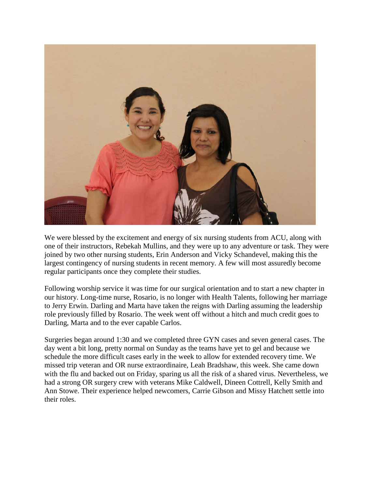

We were blessed by the excitement and energy of six nursing students from ACU, along with one of their instructors, Rebekah Mullins, and they were up to any adventure or task. They were joined by two other nursing students, Erin Anderson and Vicky Schandevel, making this the largest contingency of nursing students in recent memory. A few will most assuredly become regular participants once they complete their studies.

Following worship service it was time for our surgical orientation and to start a new chapter in our history. Long-time nurse, Rosario, is no longer with Health Talents, following her marriage to Jerry Erwin. Darling and Marta have taken the reigns with Darling assuming the leadership role previously filled by Rosario. The week went off without a hitch and much credit goes to Darling, Marta and to the ever capable Carlos.

Surgeries began around 1:30 and we completed three GYN cases and seven general cases. The day went a bit long, pretty normal on Sunday as the teams have yet to gel and because we schedule the more difficult cases early in the week to allow for extended recovery time. We missed trip veteran and OR nurse extraordinaire, Leah Bradshaw, this week. She came down with the flu and backed out on Friday, sparing us all the risk of a shared virus. Nevertheless, we had a strong OR surgery crew with veterans Mike Caldwell, Dineen Cottrell, Kelly Smith and Ann Stowe. Their experience helped newcomers, Carrie Gibson and Missy Hatchett settle into their roles.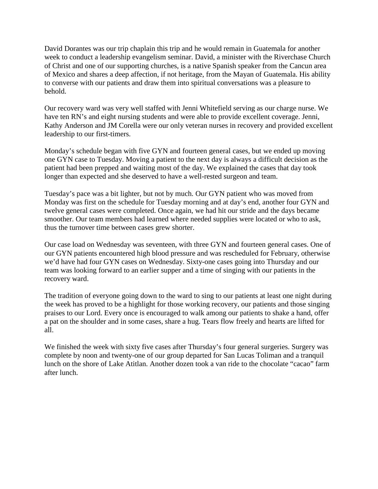David Dorantes was our trip chaplain this trip and he would remain in Guatemala for another week to conduct a leadership evangelism seminar. David, a minister with the Riverchase Church of Christ and one of our supporting churches, is a native Spanish speaker from the Cancun area of Mexico and shares a deep affection, if not heritage, from the Mayan of Guatemala. His ability to converse with our patients and draw them into spiritual conversations was a pleasure to behold.

Our recovery ward was very well staffed with Jenni Whitefield serving as our charge nurse. We have ten RN's and eight nursing students and were able to provide excellent coverage. Jenni, Kathy Anderson and JM Corella were our only veteran nurses in recovery and provided excellent leadership to our first-timers.

Monday's schedule began with five GYN and fourteen general cases, but we ended up moving one GYN case to Tuesday. Moving a patient to the next day is always a difficult decision as the patient had been prepped and waiting most of the day. We explained the cases that day took longer than expected and she deserved to have a well-rested surgeon and team.

Tuesday's pace was a bit lighter, but not by much. Our GYN patient who was moved from Monday was first on the schedule for Tuesday morning and at day's end, another four GYN and twelve general cases were completed. Once again, we had hit our stride and the days became smoother. Our team members had learned where needed supplies were located or who to ask, thus the turnover time between cases grew shorter.

Our case load on Wednesday was seventeen, with three GYN and fourteen general cases. One of our GYN patients encountered high blood pressure and was rescheduled for February, otherwise we'd have had four GYN cases on Wednesday. Sixty-one cases going into Thursday and our team was looking forward to an earlier supper and a time of singing with our patients in the recovery ward.

The tradition of everyone going down to the ward to sing to our patients at least one night during the week has proved to be a highlight for those working recovery, our patients and those singing praises to our Lord. Every once is encouraged to walk among our patients to shake a hand, offer a pat on the shoulder and in some cases, share a hug. Tears flow freely and hearts are lifted for all.

We finished the week with sixty five cases after Thursday's four general surgeries. Surgery was complete by noon and twenty-one of our group departed for San Lucas Toliman and a tranquil lunch on the shore of Lake Atitlan. Another dozen took a van ride to the chocolate "cacao" farm after lunch.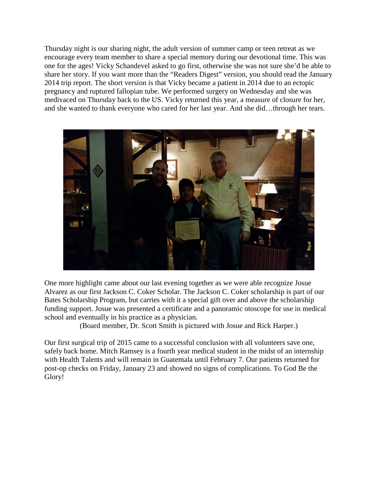Thursday night is our sharing night, the adult version of summer camp or teen retreat as we encourage every team member to share a special memory during our devotional time. This was one for the ages! Vicky Schandevel asked to go first, otherwise she was not sure she'd be able to share her story. If you want more than the "Readers Digest" version, you should read the January 2014 trip report. The short version is that Vicky became a patient in 2014 due to an ectopic pregnancy and ruptured fallopian tube. We performed surgery on Wednesday and she was medivaced on Thursday back to the US. Vicky returned this year, a measure of closure for her, and she wanted to thank everyone who cared for her last year. And she did…through her tears.



One more highlight came about our last evening together as we were able recognize Josue Alvarez as our first Jackson C. Coker Scholar. The Jackson C. Coker scholarship is part of our Bates Scholarship Program, but carries with it a special gift over and above the scholarship funding support. Josue was presented a certificate and a panoramic otoscope for use in medical school and eventually in his practice as a physician.

(Board member, Dr. Scott Smith is pictured with Josue and Rick Harper.)

Our first surgical trip of 2015 came to a successful conclusion with all volunteers save one, safely back home. Mitch Ramsey is a fourth year medical student in the midst of an internship with Health Talents and will remain in Guatemala until February 7. Our patients returned for post-op checks on Friday, January 23 and showed no signs of complications. To God Be the Glory!